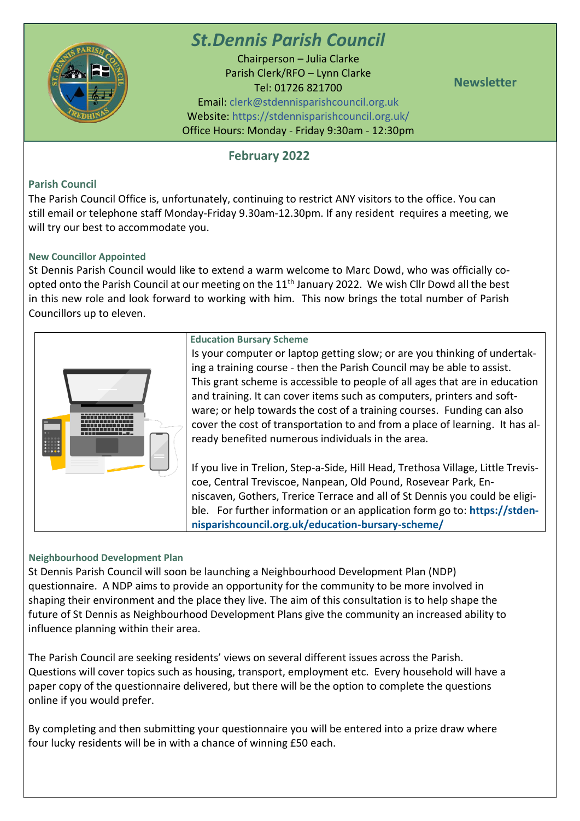

# *St.Dennis Parish Council*

Chairperson – Julia Clarke Parish Clerk/RFO – Lynn Clarke Tel: 01726 821700 Email: [clerk@stdennisparishcouncil.org.uk](mailto:clerk@stdennisparishcouncil.org.uk) Website: https://stdennisparishcouncil.org.uk/ Office Hours: Monday - Friday 9:30am - 12:30pm

**Newsletter**

## **February 2022**

## **Parish Council**

The Parish Council Office is, unfortunately, continuing to restrict ANY visitors to the office. You can still email or telephone staff Monday-Friday 9.30am-12.30pm. If any resident requires a meeting, we will try our best to accommodate you.

### **New Councillor Appointed**

St Dennis Parish Council would like to extend a warm welcome to Marc Dowd, who was officially coopted onto the Parish Council at our meeting on the 11<sup>th</sup> January 2022. We wish Cllr Dowd all the best in this new role and look forward to working with him. This now brings the total number of Parish Councillors up to eleven.



### **Education Bursary Scheme**

Is your computer or laptop getting slow; or are you thinking of undertaking a training course - then the Parish Council may be able to assist. This grant scheme is accessible to people of all ages that are in education and training. It can cover items such as computers, printers and software; or help towards the cost of a training courses. Funding can also cover the cost of transportation to and from a place of learning. It has already benefited numerous individuals in the area.

If you live in Trelion, Step-a-Side, Hill Head, Trethosa Village, Little Treviscoe, Central Treviscoe, Nanpean, Old Pound, Rosevear Park, Enniscaven, Gothers, Trerice Terrace and all of St Dennis you could be eligible. For further information or an application form go to: **[https://stden](https://stdennisparishcouncil.org.uk/education-bursary-scheme/)[nisparishcouncil.org.uk/education-bursary-scheme/](https://stdennisparishcouncil.org.uk/education-bursary-scheme/)**

#### **Neighbourhood Development Plan**

St Dennis Parish Council will soon be launching a Neighbourhood Development Plan (NDP) questionnaire. A NDP aims to provide an opportunity for the community to be more involved in shaping their environment and the place they live. The aim of this consultation is to help shape the future of St Dennis as Neighbourhood Development Plans give the community an increased ability to influence planning within their area.

The Parish Council are seeking residents' views on several different issues across the Parish. Questions will cover topics such as housing, transport, employment etc. Every household will have a paper copy of the questionnaire delivered, but there will be the option to complete the questions online if you would prefer.

By completing and then submitting your questionnaire you will be entered into a prize draw where four lucky residents will be in with a chance of winning £50 each.